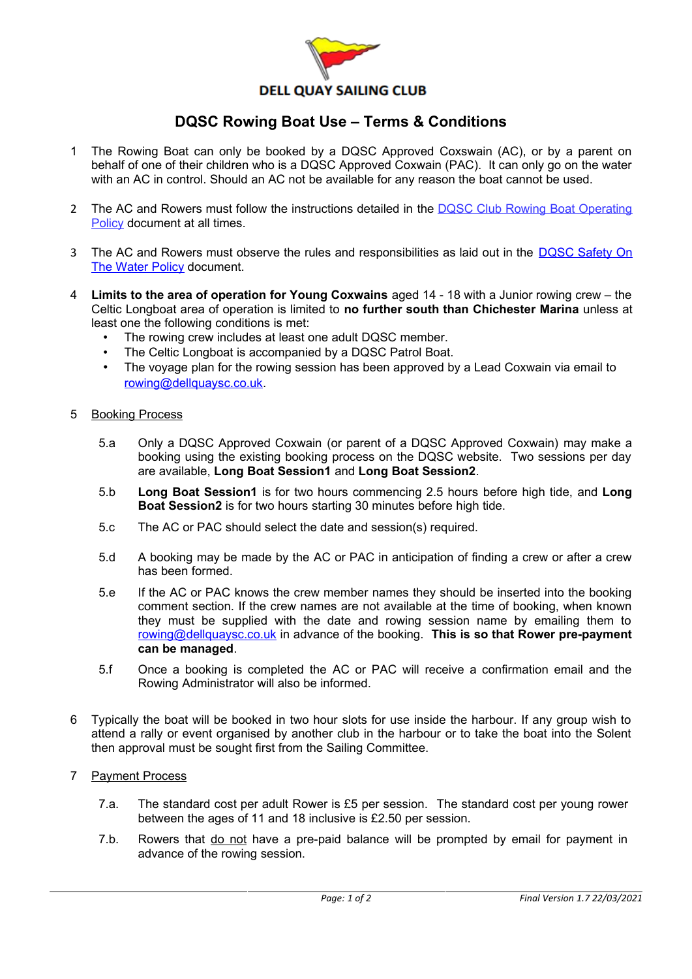

## **DQSC Rowing Boat Use – Terms & Conditions**

- 1 The Rowing Boat can only be booked by a DQSC Approved Coxswain (AC), or by a parent on behalf of one of their children who is a DQSC Approved Coxwain (PAC). It can only go on the water with an AC in control. Should an AC not be available for any reason the boat cannot be used.
- 2 The AC and Rowers must follow the instructions detailed in the [DQSC Club Rowing Boat Operating](http://www.dellquaysc.co.uk/images/documents/rules_bylaws/COVID19/Long%20Boat%20Operating%20Policy.pdf) [Policy](http://www.dellquaysc.co.uk/images/documents/rules_bylaws/COVID19/Long%20Boat%20Operating%20Policy.pdf) document at all times.
- 3 The AC and Rowers must observe the rules and responsibilities as laid out in the [DQSC Safety On](http://www.dellquaysc.co.uk/images/documents/rules_bylaws/SafetyOnTheWaterPolicy.pdf) [The Water Policy](http://www.dellquaysc.co.uk/images/documents/rules_bylaws/SafetyOnTheWaterPolicy.pdf) document.
- 4 **Limits to the area of operation for Young Coxwains** aged 14 18 with a Junior rowing crew the Celtic Longboat area of operation is limited to **no further south than Chichester Marina** unless at least one the following conditions is met:
	- The rowing crew includes at least one adult DQSC member.
	- The Celtic Longboat is accompanied by a DQSC Patrol Boat.
	- The voyage plan for the rowing session has been approved by a Lead Coxwain via email to [rowing@dellquaysc.co.uk](mailto:rowing@dellquaysc.co.uk).
- 5 Booking Process
	- 5.a Only a DQSC Approved Coxwain (or parent of a DQSC Approved Coxwain) may make a booking using the existing booking process on the DQSC website. Two sessions per day are available, **Long Boat Session1** and **Long Boat Session2**.
	- 5.b **Long Boat Session1** is for two hours commencing 2.5 hours before high tide, and **Long Boat Session2** is for two hours starting 30 minutes before high tide.
	- 5.c The AC or PAC should select the date and session(s) required.
	- 5.d A booking may be made by the AC or PAC in anticipation of finding a crew or after a crew has been formed.
	- 5.e If the AC or PAC knows the crew member names they should be inserted into the booking comment section. If the crew names are not available at the time of booking, when known they must be supplied with the date and rowing session name by emailing them to [rowing@dellquaysc.co.uk](mailto:rowing@dellquaysc.co.uk) in advance of the booking. **This is so that Rower pre-payment can be managed**.
	- 5.f Once a booking is completed the AC or PAC will receive a confirmation email and the Rowing Administrator will also be informed.
- 6 Typically the boat will be booked in two hour slots for use inside the harbour. If any group wish to attend a rally or event organised by another club in the harbour or to take the boat into the Solent then approval must be sought first from the Sailing Committee.
- 7 Payment Process
	- 7.a. The standard cost per adult Rower is £5 per session. The standard cost per young rower between the ages of 11 and 18 inclusive is £2.50 per session.
	- 7.b. Rowers that do not have a pre-paid balance will be prompted by email for payment in advance of the rowing session.